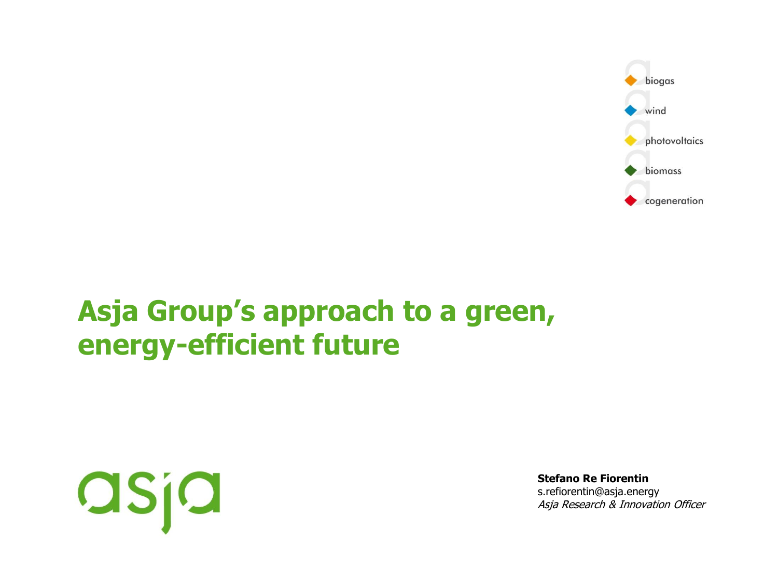

# **Asja Group's approach to a green, energy-efficient future**



**Stefano Re Fiorentin** s.refiorentin@asja.energy Asja Research & Innovation Officer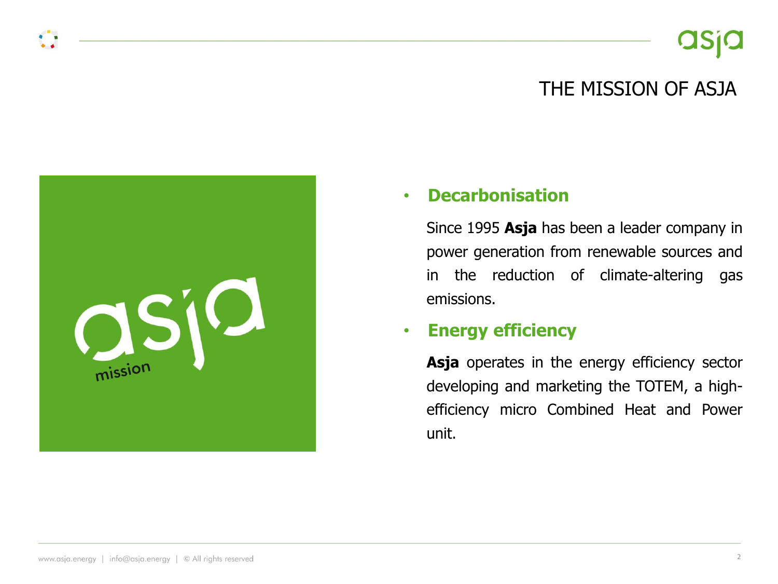### THE MISSION OF ASJA

#### • **Decarbonisation**

Since 1995 **Asja** has been a leader company in power generation from renewable sources and in the reduction of climate-altering gas emissions.

#### • **Energy efficiency**

Asja operates in the energy efficiency sector developing and marketing the TOTEM, a highefficiency micro Combined Heat and Power unit.

OSIQ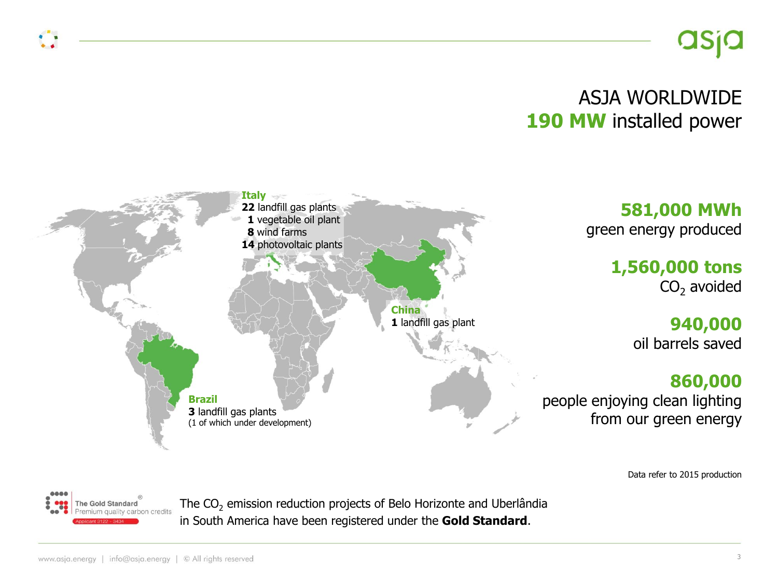## ASJA WORLDWIDE 190 MW installed power



Data refer to 2015 production



The CO<sub>2</sub> emission reduction projects of Belo Horizonte and Uberlândia in South America have been registered under the **Gold Standard**.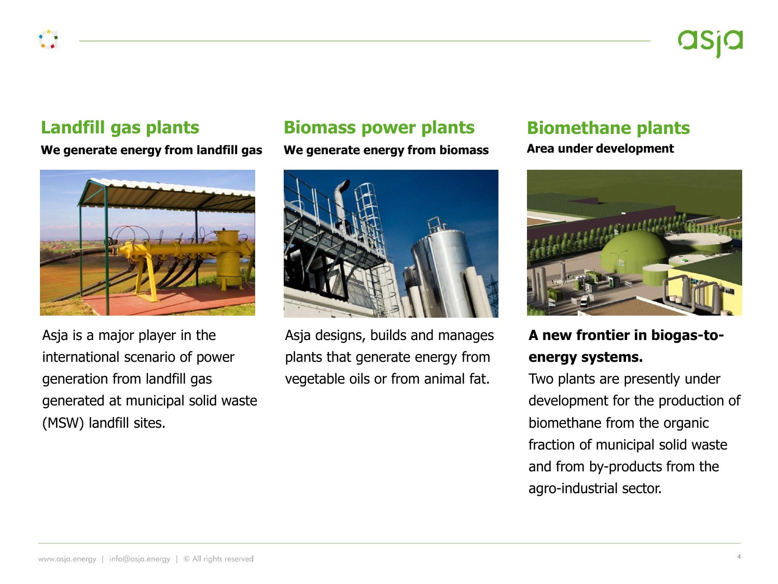#### **Landfill gas plants**

**We generate energy from landfill gas**



Asja is a major player in the international scenario of power generation from landfill gas generated at municipal solid waste (MSW) landfill sites.

### **Biomass power plants**

**We generate energy from biomass**



Asja designs, builds and manages plants that generate energy from vegetable oils or from animal fat.

### **Biomethane plants**

**Area under development**



**A new frontier in biogas-toenergy systems.** 

Two plants are presently under development for the production of biomethane from the organic fraction of municipal solid waste and from by-products from the agro-industrial sector.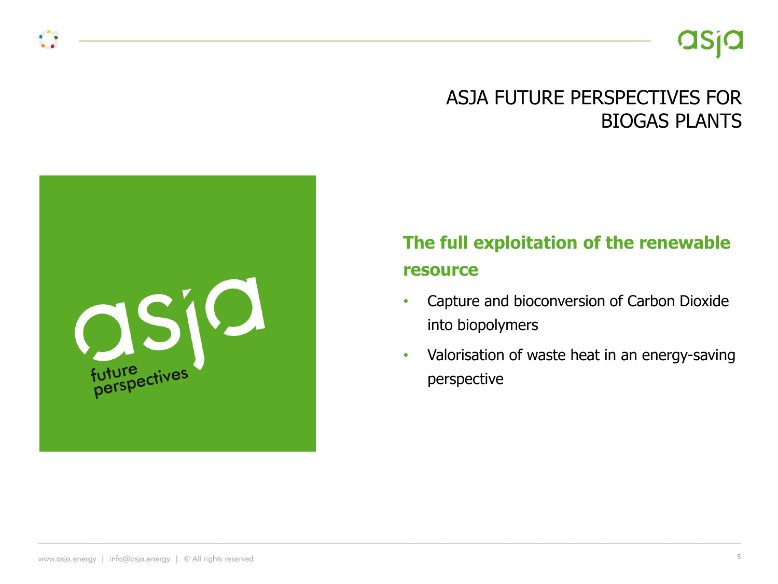## ASJA FUTURE PERSPECTIVES FOR BIOGAS PLANTS

## **The full exploitation of the renewable resource**

- Capture and bioconversion of Carbon Dioxide into biopolymers
- Valorisation of waste heat in an energy-saving perspective

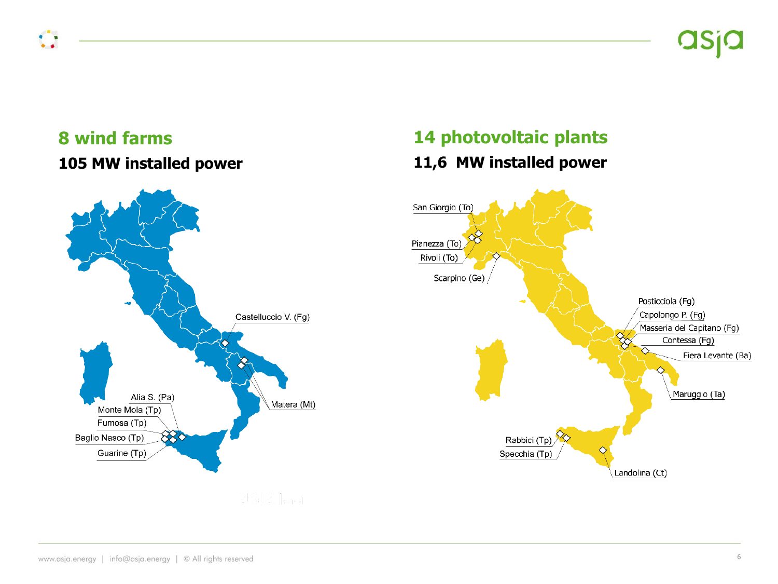### **8 wind farms 105 MW installed power**

 $\bullet$ 

## **14 photovoltaic plants 11,6 MW installed power**

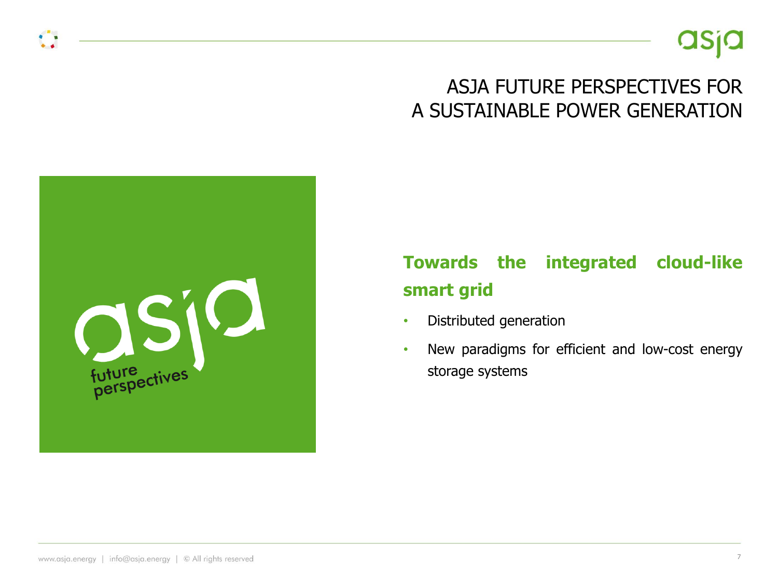

## ASJA FUTURE PERSPECTIVES FOR A SUSTAINABLE POWER GENERATION



## **Towards the integrated cloud-like smart grid**

- Distributed generation
- New paradigms for efficient and low-cost energy storage systems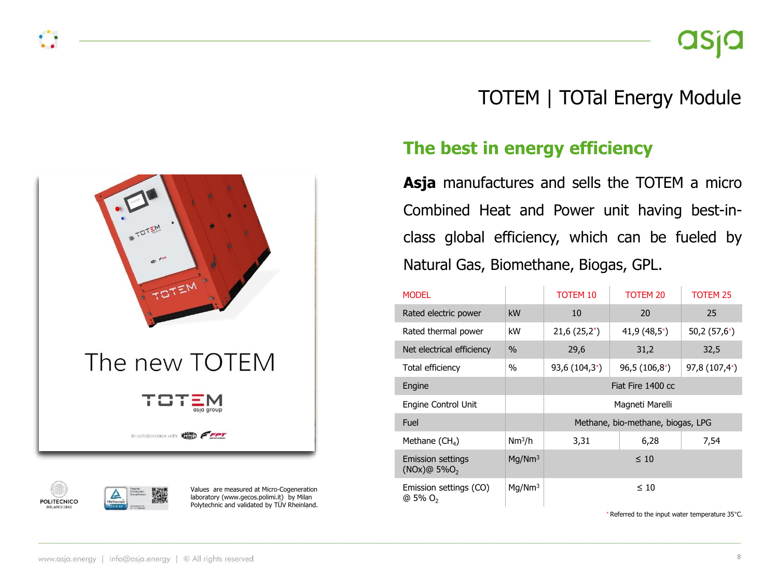



Values are measured at Micro-Cogeneration laboratory (www.gecos.polimi.it) by Milan Polytechnic and validated by TÜV Rheinland.

## TOTEM | TOTal Energy Module

### **The best in energy efficiency**

**Asja** manufactures and sells the TOTEM a micro Combined Heat and Power unit having best-inclass global efficiency, which can be fueled by Natural Gas, Biomethane, Biogas, GPL.

| <b>MODEL</b>                                  |                    | <b>TOTEM 10</b>                   | TOTEM 20         | <b>TOTEM 25</b>  |
|-----------------------------------------------|--------------------|-----------------------------------|------------------|------------------|
| Rated electric power                          | kW                 | 10                                | 20               | 25               |
| Rated thermal power                           | kW                 | $21,6(25,2^*)$                    | $41,9(48,5^{*})$ | $50,2(57,6^{*})$ |
| Net electrical efficiency                     | $\%$               | 29,6                              | 31,2             | 32,5             |
| Total efficiency                              | $\%$               | $93,6(104,3^*)$                   | $96,5(106,8^*)$  | 97,8 (107,4*)    |
| Engine                                        |                    | Fiat Fire 1400 cc                 |                  |                  |
| Engine Control Unit                           |                    | Magneti Marelli                   |                  |                  |
| Fuel                                          |                    | Methane, bio-methane, biogas, LPG |                  |                  |
| Methane $(CH_4)$                              | Nm <sup>3</sup> /h | 3,31                              | 6,28             | 7,54             |
| Emission settings<br>(NOx)@5%O <sub>2</sub>   | Mq/Nm <sup>3</sup> | $\leq 10$                         |                  |                  |
| Emission settings (CO)<br>@ 5% O <sub>2</sub> | Mq/Nm <sup>3</sup> | $\leq 10$                         |                  |                  |

\* Referred to the input water temperature 35°C.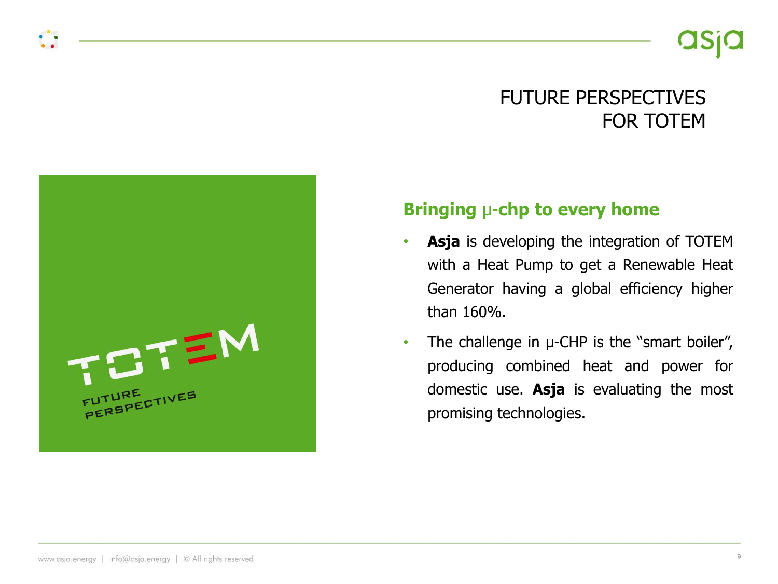## FUTURE PERSPECTIVES FOR TOTEM



#### **Bringing** µ-**chp to every home**

- **Asja** is developing the integration of TOTEM with a Heat Pump to get a Renewable Heat Generator having a global efficiency higher than 160%.
- The challenge in  $\mu$ -CHP is the "smart boiler", producing combined heat and power for domestic use. **Asja** is evaluating the most promising technologies.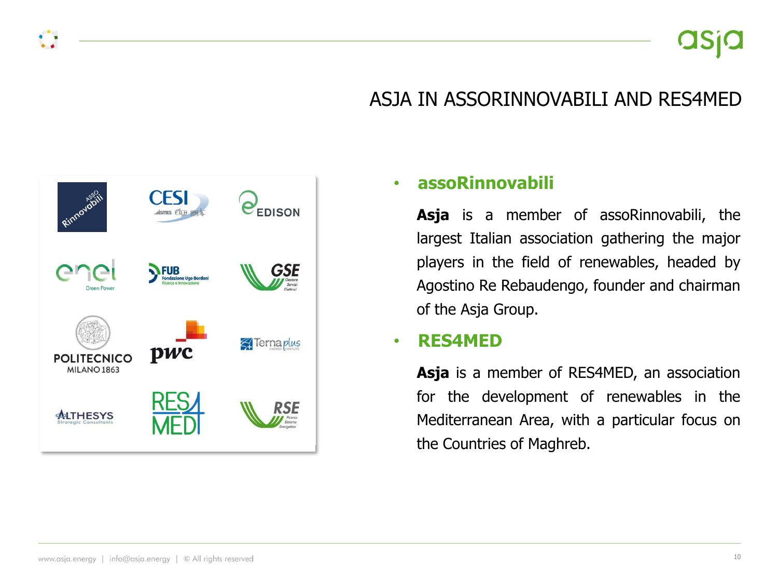## ASJA IN ASSORINNOVABILI AND RES4MED



#### • **assoRinnovabili**

**Asja** is a member of assoRinnovabili, the largest Italian association gathering the major players in the field of renewables, headed by Agostino Re Rebaudengo, founder and chairman of the Asja Group.

#### • **RES4MED**

**Asja** is a member of RES4MED, an association for the development of renewables in the Mediterranean Area, with a particular focus on the Countries of Maghreb.